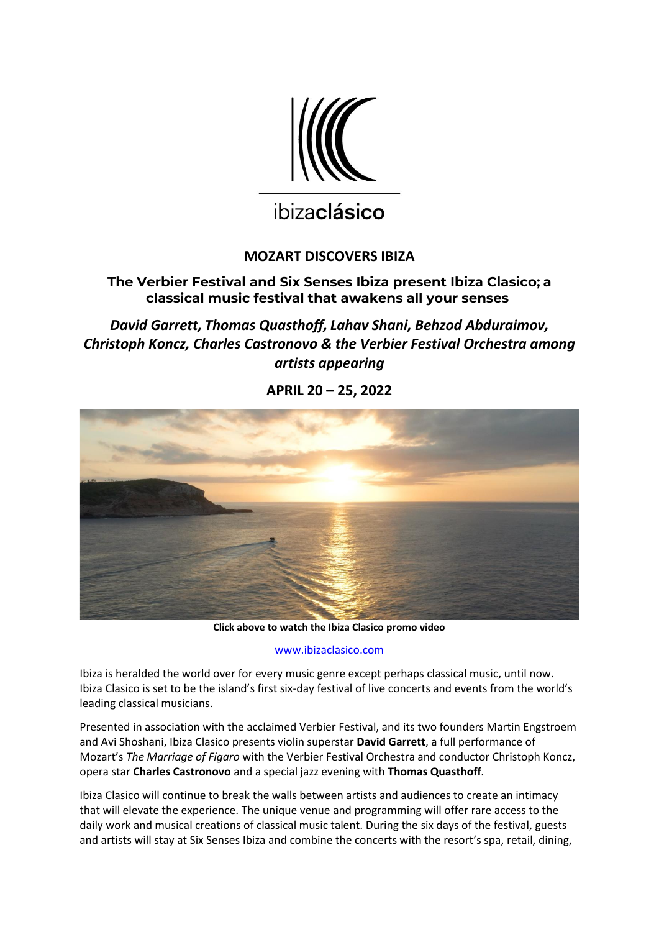

# ibizaclásico

# **MOZART DISCOVERS IBIZA**

# **The Verbier Festival and Six Senses Ibiza present Ibiza Clasico; a classical music festival that awakens all your senses**

*David Garrett, Thomas Quasthoff, Lahav Shani, Behzod Abduraimov, Christoph Koncz, Charles Castronovo & the Verbier Festival Orchestra among artists appearing*

**APRIL 20 – 25, 2022**



**Click above to watch the Ibiza Clasico promo video**

[www.ibizaclasico.com](http://www.ibizaclasico.com/)

Ibiza is heralded the world over for every music genre except perhaps classical music, until now. Ibiza Clasico is set to be the island's first six-day festival of live concerts and events from the world's leading classical musicians.

Presented in association with the acclaimed Verbier Festival, and its two founders Martin Engstroem and Avi Shoshani, Ibiza Clasico presents violin superstar **David Garrett**, a full performance of Mozart's *The Marriage of Figaro* with the Verbier Festival Orchestra and conductor Christoph Koncz, opera star **Charles Castronovo** and a special jazz evening with **Thomas Quasthoff**.

Ibiza Clasico will continue to break the walls between artists and audiences to create an intimacy that will elevate the experience. The unique venue and programming will offer rare access to the daily work and musical creations of classical music talent. During the six days of the festival, guests and artists will stay at Six Senses Ibiza and combine the concerts with the resort's spa, retail, dining,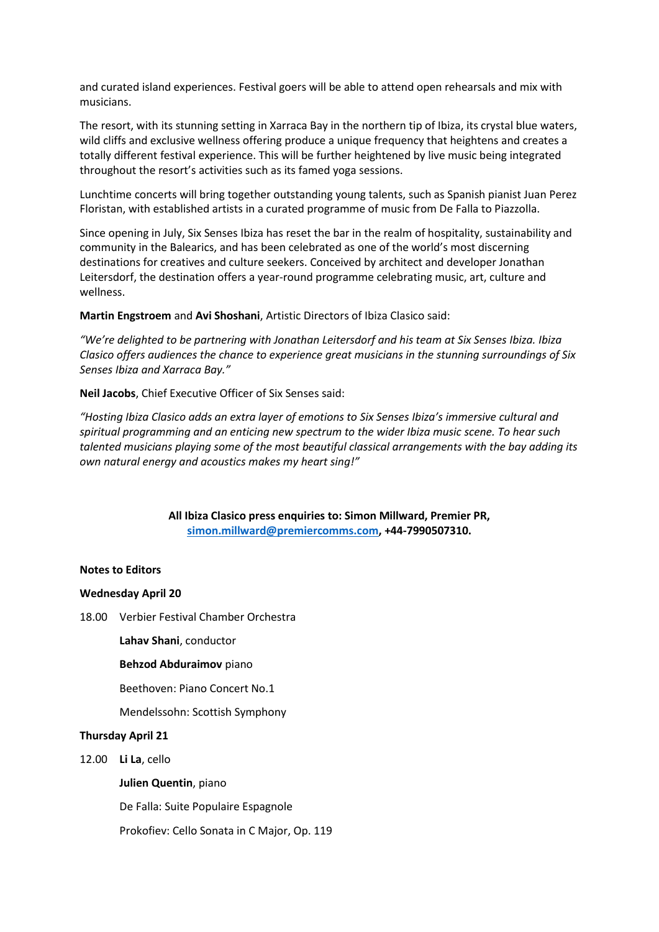and curated island experiences. Festival goers will be able to attend open rehearsals and mix with musicians.

The resort, with its stunning setting in Xarraca Bay in the northern tip of Ibiza, its crystal blue waters, wild cliffs and exclusive wellness offering produce a unique frequency that heightens and creates a totally different festival experience. This will be further heightened by live music being integrated throughout the resort's activities such as its famed yoga sessions.

Lunchtime concerts will bring together outstanding young talents, such as Spanish pianist Juan Perez Floristan, with established artists in a curated programme of music from De Falla to Piazzolla.

Since opening in July, Six Senses Ibiza has reset the bar in the realm of hospitality, sustainability and community in the Balearics, and has been celebrated as one of the world's most discerning destinations for creatives and culture seekers. Conceived by architect and developer Jonathan Leitersdorf, the destination offers a year-round programme celebrating music, art, culture and wellness.

**Martin Engstroem** and **Avi Shoshani**, Artistic Directors of Ibiza Clasico said:

*"We're delighted to be partnering with Jonathan Leitersdorf and his team at Six Senses Ibiza. Ibiza Clasico offers audiences the chance to experience great musicians in the stunning surroundings of Six Senses Ibiza and Xarraca Bay."*

**Neil Jacobs**, Chief Executive Officer of Six Senses said:

*"Hosting Ibiza Clasico adds an extra layer of emotions to Six Senses Ibiza's immersive cultural and spiritual programming and an enticing new spectrum to the wider Ibiza music scene. To hear such talented musicians playing some of the most beautiful classical arrangements with the bay adding its own natural energy and acoustics makes my heart sing!"*

> **All Ibiza Clasico press enquiries to: Simon Millward, Premier PR, [simon.millward@premiercomms.com,](mailto:simon.millward@premiercomms.com) +44-7990507310.**

#### **Notes to Editors**

#### **Wednesday April 20**

18.00 Verbier Festival Chamber Orchestra

**Lahav Shani**, conductor

#### **Behzod Abduraimov** piano

Beethoven: Piano Concert No.1

Mendelssohn: Scottish Symphony

#### **Thursday April 21**

12.00 **Li La**, cello

#### **Julien Quentin**, piano

De Falla: Suite Populaire Espagnole

Prokofiev: Cello Sonata in C Major, Op. 119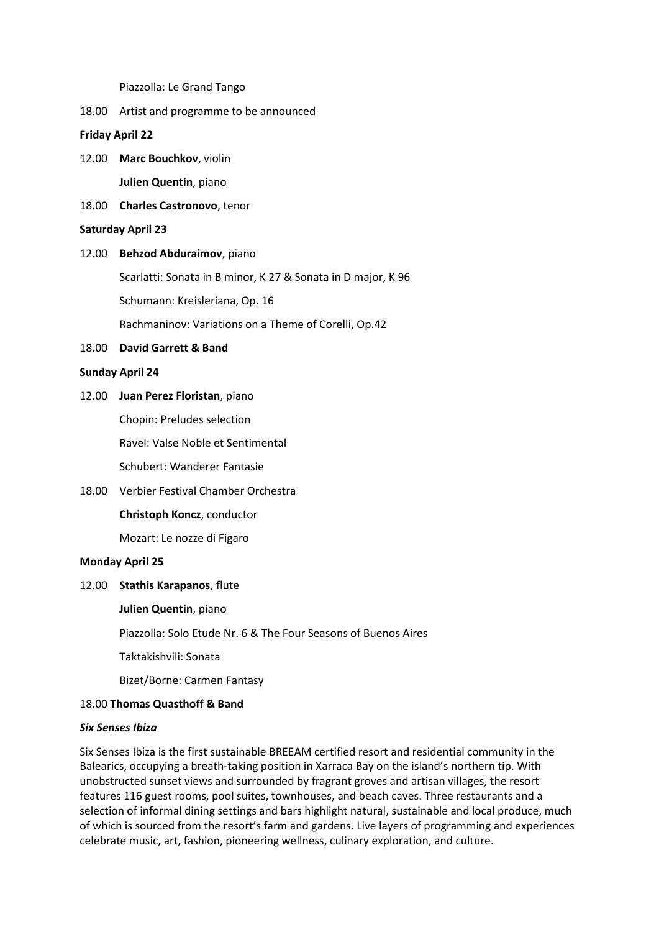Piazzolla: Le Grand Tango

18.00 Artist and programme to be announced

**Friday April 22**

- 12.00 **Marc Bouchkov**, violin **Julien Quentin**, piano
- 18.00 **Charles Castronovo**, tenor

#### **Saturday April 23**

#### 12.00 **Behzod Abduraimov**, piano

Scarlatti: Sonata in B minor, K 27 & Sonata in D major, K 96

Schumann: Kreisleriana, Op. 16

Rachmaninov: Variations on a Theme of Corelli, Op.42

#### 18.00 **David Garrett & Band**

#### **Sunday April 24**

12.00 **Juan Perez Floristan**, piano

Chopin: Preludes selection

Ravel: Valse Noble et Sentimental

Schubert: Wanderer Fantasie

18.00 Verbier Festival Chamber Orchestra

**Christoph Koncz**, conductor

Mozart: Le nozze di Figaro

#### **Monday April 25**

## 12.00 **Stathis Karapanos**, flute

**Julien Quentin**, piano

Piazzolla: Solo Etude Nr. 6 & The Four Seasons of Buenos Aires

Taktakishvili: Sonata

Bizet/Borne: Carmen Fantasy

## 18.00 **Thomas Quasthoff & Band**

#### *Six Senses Ibiza*

Six Senses Ibiza is the first sustainable BREEAM certified resort and residential community in the Balearics, occupying a breath-taking position in Xarraca Bay on the island's northern tip. With unobstructed sunset views and surrounded by fragrant groves and artisan villages, the resort features 116 guest rooms, pool suites, townhouses, and beach caves. Three restaurants and a selection of informal dining settings and bars highlight natural, sustainable and local produce, much of which is sourced from the resort's farm and gardens. Live layers of programming and experiences celebrate music, art, fashion, pioneering wellness, culinary exploration, and culture.